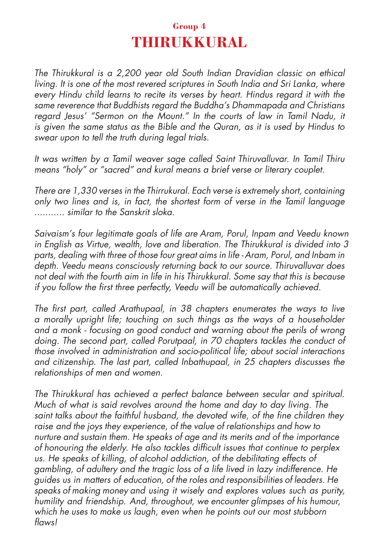## **Group 4 THIRUKKURAL**

The Thirukkural is a 2,200 year old South Indian Dravidian classic on ethical living. It is one of the most revered scriptures in South India and Sri Lanka, where every Hindu child learns to recite its verses by heart. Hindus regard it with the same reverence that Buddhists regard the Buddha's Dhammapada and Christians regard Jesus' "Sermon on the Mount." In the courts of law in Tamil Nadu, it is given the same status as the Bible and the Quran, as it is used by Hindus to swear upon to tell the truth during legal trials.

It was written by a Tamil weaver sage called Saint Thiruvalluvar. In Tamil Thiru means "holy" or "sacred" and kural means a brief verse or literary couplet.

There are 1,330 verses in the Thirrukural. Each verse is extremely short, containing only two lines and is, in fact, the shortest form of verse in the Tamil language ........... similar to the Sanskrit sloka.

Saivaism's four legitimate goals of life are Aram, Porul, Inpam and Veedu known in English as Virtue, wealth, love and liberation. The Thirukkural is divided into 3 parts, dealing with three of those four great aims in life - Aram, Porul, and Inbam in depth. Veedu means consciously returning back to our source. Thiruvalluvar does not deal with the fourth aim in life in his Thirukkural. Some say that this is because if you follow the first three perfectly, Veedu will be automatically achieved.

The first part, called Arathupaal, in 38 chapters enumerates the ways to live a morally upright life; touching on such things as the ways of a householder and a monk - focusing on good conduct and warning about the perils of wrong doing. The second part, called Porutpaal, in 70 chapters tackles the conduct of those involved in administration and socio-political life; about social interactions and citizenship. The last part, called Inbathupaal, in 25 chapters discusses the relationships of men and women.

The Thirukkural has achieved a perfect balance between secular and spiritual. Much of what is said revolves around the home and day to day living. The saint talks about the faithful husband, the devoted wife, of the fine children they raise and the joys they experience, of the value of relationships and how to nurture and sustain them. He speaks of age and its merits and of the importance of honouring the elderly. He also tackles difficult issues that continue to perplex us. He speaks of killing, of alcohol addiction, of the debilitating effects of gambling, of adultery and the tragic loss of a life lived in lazy indifference. He guides us in matters of education, of the roles and responsibilities of leaders. He speaks of making money and using it wisely and explores values such as purity, humility and friendship. And, throughout, we encounter glimpses of his humour, which he uses to make us laugh, even when he points out our most stubborn flaws!